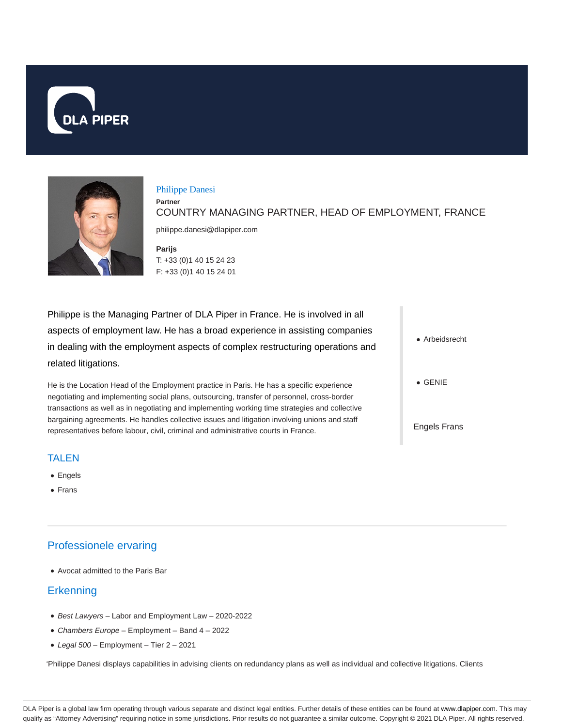



#### Philippe Danesi

**Partner** COUNTRY MANAGING PARTNER, HEAD OF EMPLOYMENT, FRANCE

philippe.danesi@dlapiper.com

**Parijs** T: +33 (0)1 40 15 24 23 F: +33 (0)1 40 15 24 01

Philippe is the Managing Partner of DLA Piper in France. He is involved in all aspects of employment law. He has a broad experience in assisting companies in dealing with the employment aspects of complex restructuring operations and related litigations.

He is the Location Head of the Employment practice in Paris. He has a specific experience negotiating and implementing social plans, outsourcing, transfer of personnel, cross-border transactions as well as in negotiating and implementing working time strategies and collective bargaining agreements. He handles collective issues and litigation involving unions and staff representatives before labour, civil, criminal and administrative courts in France.

Arbeidsrecht

GENIE

Engels Frans

## TALEN

- Engels
- Frans

# Professionele ervaring

Avocat admitted to the Paris Bar

# **Erkenning**

- Best Lawyers Labor and Employment Law 2020-2022
- Chambers Europe Employment Band 4 2022
- $\bullet$  Legal 500 Employment Tier 2 2021

'Philippe Danesi displays capabilities in advising clients on redundancy plans as well as individual and collective litigations. Clients